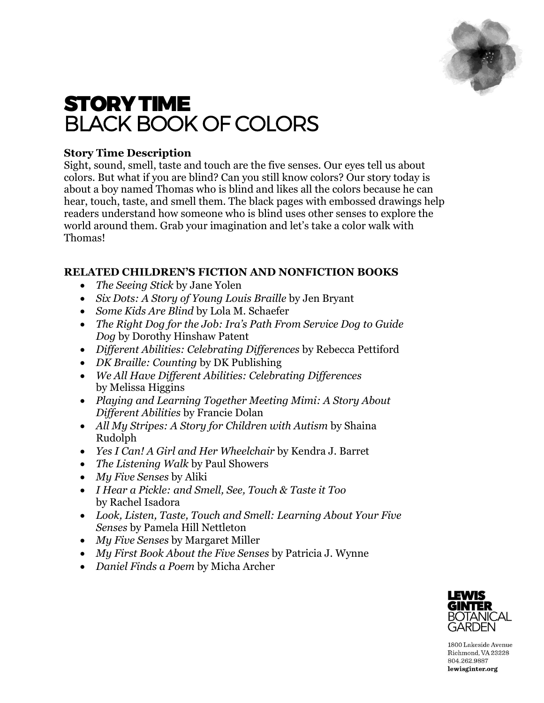

# STORY TIME BLACK BOOK OF COLORS

# **Story Time Description**

Sight, sound, smell, taste and touch are the five senses. Our eyes tell us about colors. But what if you are blind? Can you still know colors? Our story today is about a boy named Thomas who is blind and likes all the colors because he can hear, touch, taste, and smell them. The black pages with embossed drawings help readers understand how someone who is blind uses other senses to explore the world around them. Grab your imagination and let's take a color walk with Thomas!

# **RELATED CHILDREN'S FICTION AND NONFICTION BOOKS**

- *The Seeing Stick* by Jane Yolen
- *Six Dots: A Story of Young Louis Braille* by Jen Bryant
- *Some Kids Are Blind* by Lola M. Schaefer
- *The Right Dog for the Job: Ira's Path From Service Dog to Guide Dog* by Dorothy Hinshaw Patent
- *Different Abilities: Celebrating Differences* by Rebecca Pettiford
- *DK Braille: Counting* by DK Publishing
- *We All Have Different Abilities: Celebrating Differences*  by Melissa Higgins
- *Playing and Learning Together Meeting Mimi: A Story About Different Abilities* by Francie Dolan
- All My Stripes: A Story for Children with Autism by Shaina Rudolph
- *Yes I Can! A Girl and Her Wheelchair* by Kendra J. Barret
- *The Listening Walk* by Paul Showers
- *My Five Senses* by Aliki
- *I Hear a Pickle: and Smell, See, Touch & Taste it Too*  by Rachel Isadora
- *Look, Listen, Taste, Touch and Smell: Learning About Your Five Senses* by Pamela Hill Nettleton
- *My Five Senses* by Margaret Miller
- *My First Book About the Five Senses* by Patricia J. Wynne
- *Daniel Finds a Poem* by Micha Archer



1800 Lakeside Avenue Richmond, VA 23228 804.262.9887 lewisginter.org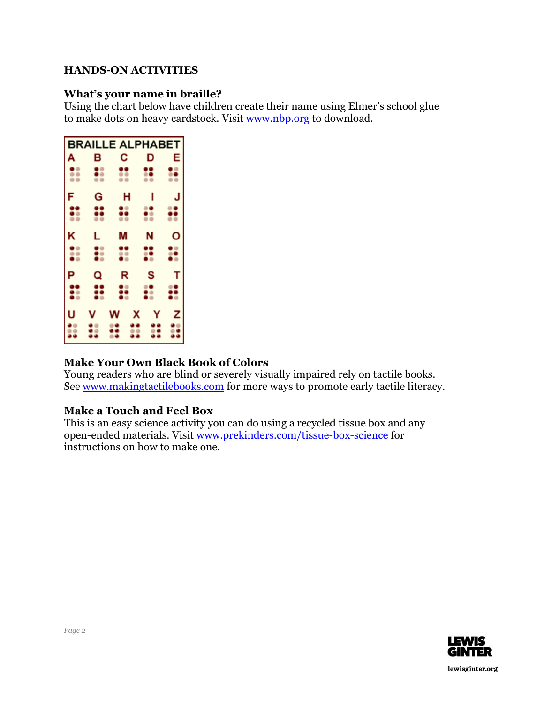#### **HANDS-ON ACTIVITIES**

#### **What's your name in braille?**

Using the chart below have children create their name using Elmer's school glue to make dots on heavy cardstock. Visit [www.nbp.org](http://www.nbp.org/) to download.

| <b>BRAILLE ALPHABET</b> |   |    |   |   |   |
|-------------------------|---|----|---|---|---|
| A                       | в | С  |   | D | Ε |
|                         |   |    |   | H |   |
| F                       | G |    | н |   |   |
| $\frac{1}{2}$           | ő | õ, |   | ÷ | ë |
| κ                       | L | M  |   | N | o |
| $\ddot{\bullet}$        | 0 | ።  |   | 쁢 | ። |
| P                       | Q | R  |   | s | т |
| å                       | ። | ፨  |   | 쁥 | ፟ |
| U                       |   | W  | X | Y | z |
|                         |   |    |   |   |   |

# **Make Your Own Black Book of Colors**

Young readers who are blind or severely visually impaired rely on tactile books. See [www.makingtactilebooks.com](http://www.makingtactilebooks.com/) for more ways to promote early tactile literacy.

# **Make a Touch and Feel Box**

This is an easy science activity you can do using a recycled tissue box and any open-ended materials. Visit [www.prekinders.com/tissue-box-science](http://www.prekinders.com/tissue-box-science) for instructions on how to make one.